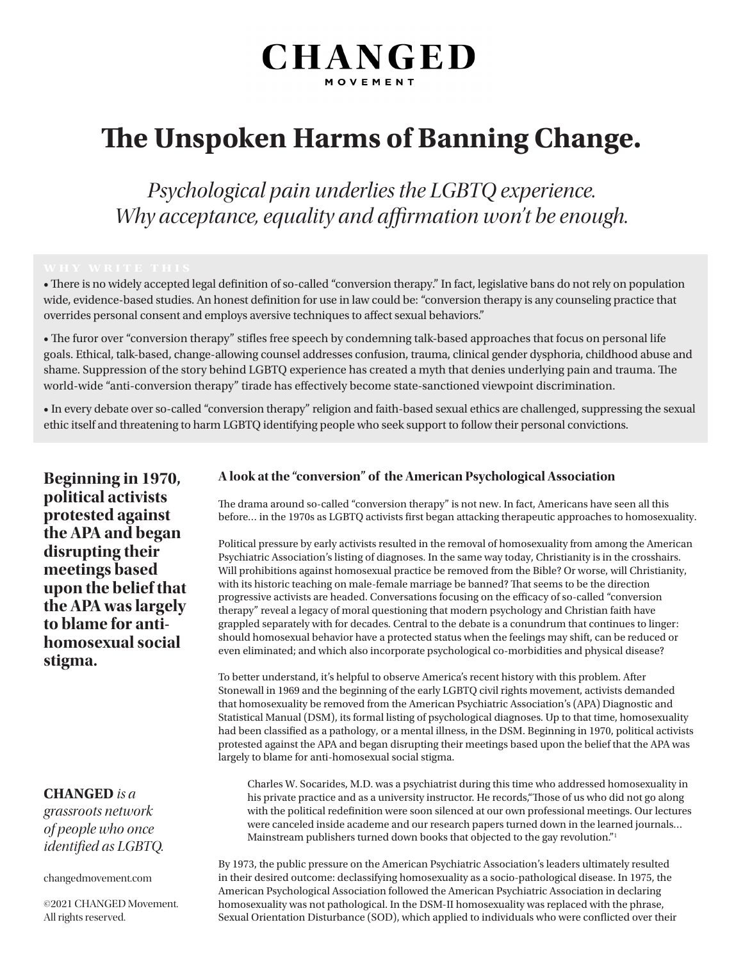# **CHANGED** MOVEMEN

# **The Unspoken Harms of Banning Change.**

*Psychological pain underlies the LGBTQ experience. Why acceptance, equality and affirmation won't be enough.*

• There is no widely accepted legal definition of so-called "conversion therapy." In fact, legislative bans do not rely on population wide, evidence-based studies. An honest definition for use in law could be: "conversion therapy is any counseling practice that overrides personal consent and employs aversive techniques to affect sexual behaviors."

• The furor over "conversion therapy" stifles free speech by condemning talk-based approaches that focus on personal life goals. Ethical, talk-based, change-allowing counsel addresses confusion, trauma, clinical gender dysphoria, childhood abuse and shame. Suppression of the story behind LGBTQ experience has created a myth that denies underlying pain and trauma. The world-wide "anti-conversion therapy" tirade has effectively become state-sanctioned viewpoint discrimination.

• In every debate over so-called "conversion therapy" religion and faith-based sexual ethics are challenged, suppressing the sexual ethic itself and threatening to harm LGBTQ identifying people who seek support to follow their personal convictions.

**Beginning in 1970, political activists protested against the APA and began disrupting their meetings based upon the belief that the APA was largely to blame for antihomosexual social stigma.** 

### **CHANGED** *is a*

*grassroots network of people who once identified as LGBTQ.* 

changedmovement.com

©2021 CHANGED Movement. All rights reserved.

#### **A look at the "conversion" of the American Psychological Association**

The drama around so-called "conversion therapy" is not new. In fact, Americans have seen all this before… in the 1970s as LGBTQ activists first began attacking therapeutic approaches to homosexuality.

Political pressure by early activists resulted in the removal of homosexuality from among the American Psychiatric Association's listing of diagnoses. In the same way today, Christianity is in the crosshairs. Will prohibitions against homosexual practice be removed from the Bible? Or worse, will Christianity, with its historic teaching on male-female marriage be banned? That seems to be the direction progressive activists are headed. Conversations focusing on the efficacy of so-called "conversion therapy" reveal a legacy of moral questioning that modern psychology and Christian faith have grappled separately with for decades. Central to the debate is a conundrum that continues to linger: should homosexual behavior have a protected status when the feelings may shift, can be reduced or even eliminated; and which also incorporate psychological co-morbidities and physical disease?

To better understand, it's helpful to observe America's recent history with this problem. After Stonewall in 1969 and the beginning of the early LGBTQ civil rights movement, activists demanded that homosexuality be removed from the American Psychiatric Association's (APA) Diagnostic and Statistical Manual (DSM), its formal listing of psychological diagnoses. Up to that time, homosexuality had been classified as a pathology, or a mental illness, in the DSM. Beginning in 1970, political activists protested against the APA and began disrupting their meetings based upon the belief that the APA was largely to blame for anti-homosexual social stigma.

Charles W. Socarides, M.D. was a psychiatrist during this time who addressed homosexuality in his private practice and as a university instructor. He records,"Those of us who did not go along with the political redefinition were soon silenced at our own professional meetings. Our lectures were canceled inside academe and our research papers turned down in the learned journals… Mainstream publishers turned down books that objected to the gay revolution."<sup>1</sup>

By 1973, the public pressure on the American Psychiatric Association's leaders ultimately resulted in their desired outcome: declassifying homosexuality as a socio-pathological disease. In 1975, the American Psychological Association followed the American Psychiatric Association in declaring homosexuality was not pathological. In the DSM-II homosexuality was replaced with the phrase, Sexual Orientation Disturbance (SOD), which applied to individuals who were conflicted over their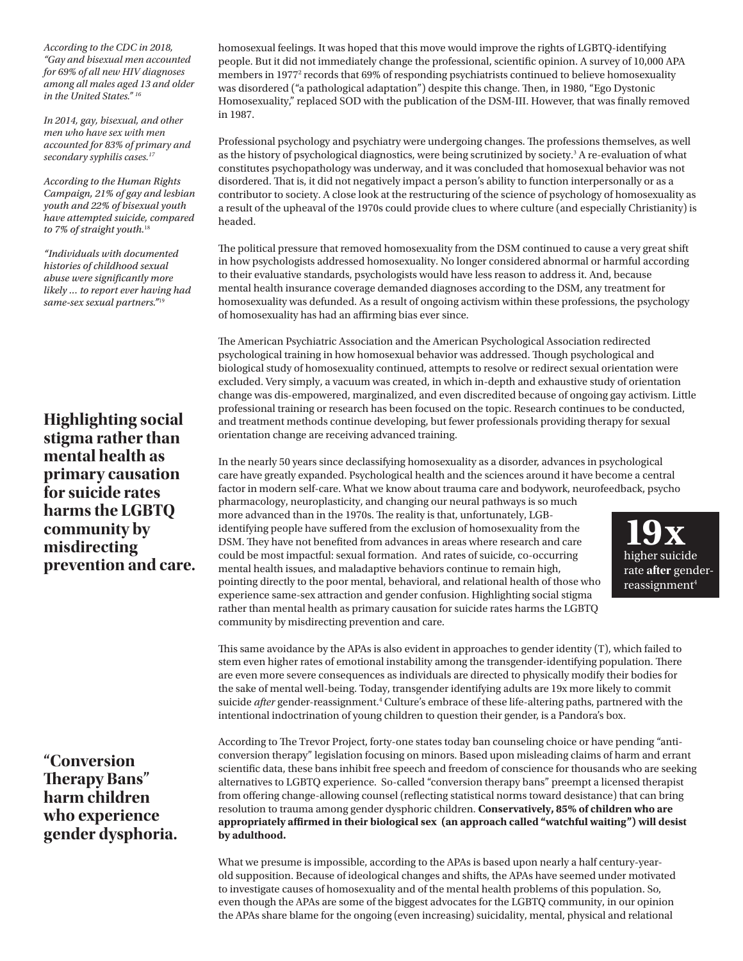*According to the CDC in 2018, "Gay and bisexual men accounted for 69% of all new HIV diagnoses among all males aged 13 and older in the United States." 16*

*In 2014, gay, bisexual, and other men who have sex with men accounted for 83% of primary and secondary syphilis cases.17*

*According to the Human Rights Campaign, 21% of gay and lesbian youth and 22% of bisexual youth have attempted suicide, compared to 7% of straight youth.*<sup>18</sup>

*"Individuals with documented histories of childhood sexual abuse were significantly more likely ... to report ever having had same-sex sexual partners."*19

**Highlighting social stigma rather than mental health as primary causation for suicide rates harms the LGBTQ community by misdirecting prevention and care.** 

**"Conversion Therapy Bans" harm children who experience gender dysphoria.** homosexual feelings. It was hoped that this move would improve the rights of LGBTQ-identifying people. But it did not immediately change the professional, scientific opinion. A survey of 10,000 APA members in 1977<sup>2</sup> records that 69% of responding psychiatrists continued to believe homosexuality was disordered ("a pathological adaptation") despite this change. Then, in 1980, "Ego Dystonic Homosexuality," replaced SOD with the publication of the DSM-III. However, that was finally removed in 1987.

Professional psychology and psychiatry were undergoing changes. The professions themselves, as well as the history of psychological diagnostics, were being scrutinized by society.<sup>3</sup> A re-evaluation of what constitutes psychopathology was underway, and it was concluded that homosexual behavior was not disordered. That is, it did not negatively impact a person's ability to function interpersonally or as a contributor to society. A close look at the restructuring of the science of psychology of homosexuality as a result of the upheaval of the 1970s could provide clues to where culture (and especially Christianity) is headed.

The political pressure that removed homosexuality from the DSM continued to cause a very great shift in how psychologists addressed homosexuality. No longer considered abnormal or harmful according to their evaluative standards, psychologists would have less reason to address it. And, because mental health insurance coverage demanded diagnoses according to the DSM, any treatment for homosexuality was defunded. As a result of ongoing activism within these professions, the psychology of homosexuality has had an affirming bias ever since.

The American Psychiatric Association and the American Psychological Association redirected psychological training in how homosexual behavior was addressed. Though psychological and biological study of homosexuality continued, attempts to resolve or redirect sexual orientation were excluded. Very simply, a vacuum was created, in which in-depth and exhaustive study of orientation change was dis-empowered, marginalized, and even discredited because of ongoing gay activism. Little professional training or research has been focused on the topic. Research continues to be conducted, and treatment methods continue developing, but fewer professionals providing therapy for sexual orientation change are receiving advanced training.

In the nearly 50 years since declassifying homosexuality as a disorder, advances in psychological care have greatly expanded. Psychological health and the sciences around it have become a central factor in modern self-care. What we know about trauma care and bodywork, neurofeedback, psycho

pharmacology, neuroplasticity, and changing our neural pathways is so much more advanced than in the 1970s. The reality is that, unfortunately, LGBidentifying people have suffered from the exclusion of homosexuality from the DSM. They have not benefited from advances in areas where research and care could be most impactful: sexual formation. And rates of suicide, co-occurring mental health issues, and maladaptive behaviors continue to remain high, pointing directly to the poor mental, behavioral, and relational health of those who experience same-sex attraction and gender confusion. Highlighting social stigma rather than mental health as primary causation for suicide rates harms the LGBTQ community by misdirecting prevention and care.



This same avoidance by the APAs is also evident in approaches to gender identity (T), which failed to stem even higher rates of emotional instability among the transgender-identifying population. There are even more severe consequences as individuals are directed to physically modify their bodies for the sake of mental well-being. Today, transgender identifying adults are 19x more likely to commit suicide *after* gender-reassignment.<sup>4</sup> Culture's embrace of these life-altering paths, partnered with the intentional indoctrination of young children to question their gender, is a Pandora's box.

According to The Trevor Project, forty-one states today ban counseling choice or have pending "anticonversion therapy" legislation focusing on minors. Based upon misleading claims of harm and errant scientific data, these bans inhibit free speech and freedom of conscience for thousands who are seeking alternatives to LGBTQ experience. So-called "conversion therapy bans" preempt a licensed therapist from offering change-allowing counsel (reflecting statistical norms toward desistance) that can bring resolution to trauma among gender dysphoric children. **Conservatively, 85% of children who are appropriately affirmed in their biological sex (an approach called "watchful waiting") will desist by adulthood.**

What we presume is impossible, according to the APAs is based upon nearly a half century-yearold supposition. Because of ideological changes and shifts, the APAs have seemed under motivated to investigate causes of homosexuality and of the mental health problems of this population. So, even though the APAs are some of the biggest advocates for the LGBTQ community, in our opinion the APAs share blame for the ongoing (even increasing) suicidality, mental, physical and relational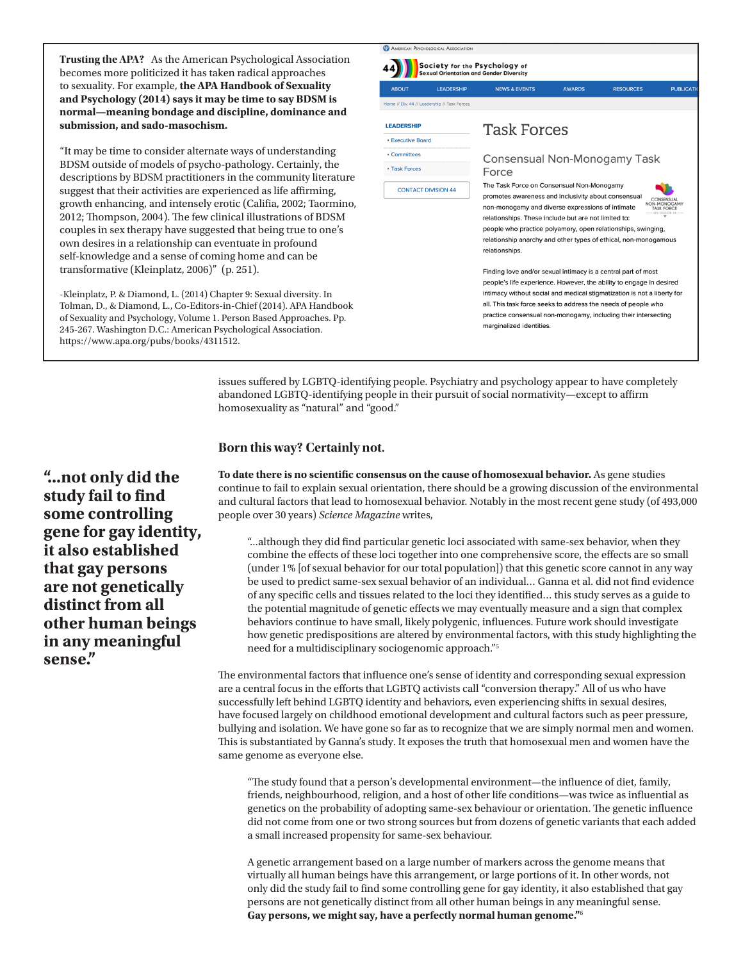**Trusting the APA?** As the American Psychological Association becomes more politicized it has taken radical approaches to sexuality. For example, **the APA Handbook of Sexuality and Psychology (2014) says it may be time to say BDSM is normal—meaning bondage and discipline, dominance and submission, and sado-masochism.**

"It may be time to consider alternate ways of understanding BDSM outside of models of psycho-pathology. Certainly, the descriptions by BDSM practitioners in the community literature suggest that their activities are experienced as life affirming, growth enhancing, and intensely erotic (Califia, 2002; Taormino, 2012; Thompson, 2004). The few clinical illustrations of BDSM couples in sex therapy have suggested that being true to one's own desires in a relationship can eventuate in profound self-knowledge and a sense of coming home and can be transformative (Kleinplatz, 2006)" (p. 251).

-Kleinplatz, P. & Diamond, L. (2014) Chapter 9: Sexual diversity. In Tolman, D., & Diamond, L., Co-Editors-in-Chief (2014). APA Handbook of Sexuality and Psychology, Volume 1. Person Based Approaches. Pp. 245-267. Washington D.C.: American Psychological Association. https://www.apa.org/pubs/books/4311512.



issues suffered by LGBTQ-identifying people. Psychiatry and psychology appear to have completely abandoned LGBTQ-identifying people in their pursuit of social normativity—except to affirm homosexuality as "natural" and "good."

#### **Born this way? Certainly not.**

**To date there is no scientific consensus on the cause of homosexual behavior.** As gene studies continue to fail to explain sexual orientation, there should be a growing discussion of the environmental and cultural factors that lead to homosexual behavior. Notably in the most recent gene study (of 493,000 people over 30 years) *Science Magazine* writes,

"...although they did find particular genetic loci associated with same-sex behavior, when they combine the effects of these loci together into one comprehensive score, the effects are so small (under 1% [of sexual behavior for our total population]) that this genetic score cannot in any way be used to predict same-sex sexual behavior of an individual… Ganna et al. did not find evidence of any specific cells and tissues related to the loci they identified… this study serves as a guide to the potential magnitude of genetic effects we may eventually measure and a sign that complex behaviors continue to have small, likely polygenic, influences. Future work should investigate how genetic predispositions are altered by environmental factors, with this study highlighting the need for a multidisciplinary sociogenomic approach."5

The environmental factors that influence one's sense of identity and corresponding sexual expression are a central focus in the efforts that LGBTQ activists call "conversion therapy." All of us who have successfully left behind LGBTQ identity and behaviors, even experiencing shifts in sexual desires, have focused largely on childhood emotional development and cultural factors such as peer pressure, bullying and isolation. We have gone so far as to recognize that we are simply normal men and women. This is substantiated by Ganna's study. It exposes the truth that homosexual men and women have the same genome as everyone else.

"The study found that a person's developmental environment—the influence of diet, family, friends, neighbourhood, religion, and a host of other life conditions—was twice as influential as genetics on the probability of adopting same-sex behaviour or orientation. The genetic influence did not come from one or two strong sources but from dozens of genetic variants that each added a small increased propensity for same-sex behaviour.

A genetic arrangement based on a large number of markers across the genome means that virtually all human beings have this arrangement, or large portions of it. In other words, not only did the study fail to find some controlling gene for gay identity, it also established that gay persons are not genetically distinct from all other human beings in any meaningful sense. **Gay persons, we might say, have a perfectly normal human genome."**<sup>6</sup>

**"...not only did the study fail to find some controlling gene for gay identity, it also established that gay persons are not genetically distinct from all other human beings in any meaningful sense."**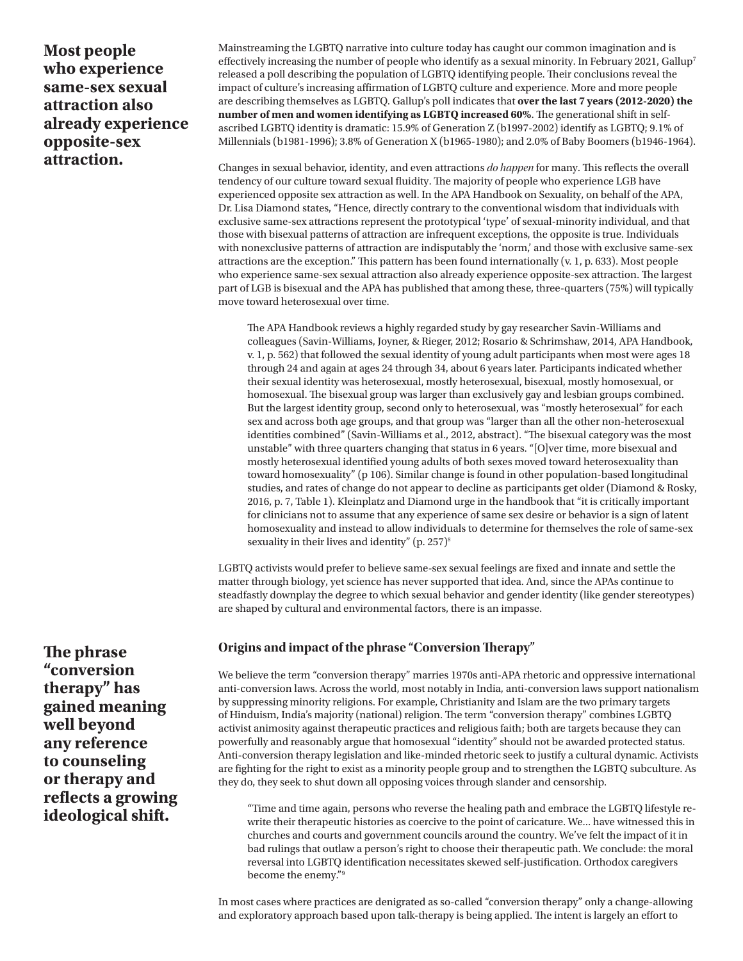**Most people who experience same-sex sexual attraction also already experience opposite-sex attraction.**

Mainstreaming the LGBTQ narrative into culture today has caught our common imagination and is effectively increasing the number of people who identify as a sexual minority. In February 2021, Gallup7 released a poll describing the population of LGBTQ identifying people. Their conclusions reveal the impact of culture's increasing affirmation of LGBTQ culture and experience. More and more people are describing themselves as LGBTQ. Gallup's poll indicates that **over the last 7 years (2012-2020) the number of men and women identifying as LGBTQ increased 60%**. The generational shift in selfascribed LGBTQ identity is dramatic: 15.9% of Generation Z (b1997-2002) identify as LGBTQ; 9.1% of Millennials (b1981-1996); 3.8% of Generation X (b1965-1980); and 2.0% of Baby Boomers (b1946-1964).

Changes in sexual behavior, identity, and even attractions *do happen* for many. This reflects the overall tendency of our culture toward sexual fluidity. The majority of people who experience LGB have experienced opposite sex attraction as well. In the APA Handbook on Sexuality, on behalf of the APA, Dr. Lisa Diamond states, "Hence, directly contrary to the conventional wisdom that individuals with exclusive same-sex attractions represent the prototypical 'type' of sexual-minority individual, and that those with bisexual patterns of attraction are infrequent exceptions, the opposite is true. Individuals with nonexclusive patterns of attraction are indisputably the 'norm,' and those with exclusive same-sex attractions are the exception." This pattern has been found internationally (v. 1, p. 633). Most people who experience same-sex sexual attraction also already experience opposite-sex attraction. The largest part of LGB is bisexual and the APA has published that among these, three-quarters (75%) will typically move toward heterosexual over time.

The APA Handbook reviews a highly regarded study by gay researcher Savin-Williams and colleagues (Savin-Williams, Joyner, & Rieger, 2012; Rosario & Schrimshaw, 2014, APA Handbook, v. 1, p. 562) that followed the sexual identity of young adult participants when most were ages 18 through 24 and again at ages 24 through 34, about 6 years later. Participants indicated whether their sexual identity was heterosexual, mostly heterosexual, bisexual, mostly homosexual, or homosexual. The bisexual group was larger than exclusively gay and lesbian groups combined. But the largest identity group, second only to heterosexual, was "mostly heterosexual" for each sex and across both age groups, and that group was "larger than all the other non-heterosexual identities combined" (Savin-Williams et al., 2012, abstract). "The bisexual category was the most unstable" with three quarters changing that status in 6 years. "[O]ver time, more bisexual and mostly heterosexual identified young adults of both sexes moved toward heterosexuality than toward homosexuality" (p 106). Similar change is found in other population-based longitudinal studies, and rates of change do not appear to decline as participants get older (Diamond & Rosky, 2016, p. 7, Table 1). Kleinplatz and Diamond urge in the handbook that "it is critically important for clinicians not to assume that any experience of same sex desire or behavior is a sign of latent homosexuality and instead to allow individuals to determine for themselves the role of same-sex sexuality in their lives and identity" (p. 257)<sup>8</sup>

LGBTQ activists would prefer to believe same-sex sexual feelings are fixed and innate and settle the matter through biology, yet science has never supported that idea. And, since the APAs continue to steadfastly downplay the degree to which sexual behavior and gender identity (like gender stereotypes) are shaped by cultural and environmental factors, there is an impasse.

#### **Origins and impact of the phrase "Conversion Therapy"**

We believe the term "conversion therapy" marries 1970s anti-APA rhetoric and oppressive international anti-conversion laws. Across the world, most notably in India, anti-conversion laws support nationalism by suppressing minority religions. For example, Christianity and Islam are the two primary targets of Hinduism, India's majority (national) religion. The term "conversion therapy" combines LGBTQ activist animosity against therapeutic practices and religious faith; both are targets because they can powerfully and reasonably argue that homosexual "identity" should not be awarded protected status. Anti-conversion therapy legislation and like-minded rhetoric seek to justify a cultural dynamic. Activists are fighting for the right to exist as a minority people group and to strengthen the LGBTQ subculture. As they do, they seek to shut down all opposing voices through slander and censorship.

"Time and time again, persons who reverse the healing path and embrace the LGBTQ lifestyle rewrite their therapeutic histories as coercive to the point of caricature. We... have witnessed this in churches and courts and government councils around the country. We've felt the impact of it in bad rulings that outlaw a person's right to choose their therapeutic path. We conclude: the moral reversal into LGBTQ identification necessitates skewed self-justification. Orthodox caregivers become the enemy."9

In most cases where practices are denigrated as so-called "conversion therapy" only a change-allowing and exploratory approach based upon talk-therapy is being applied. The intent is largely an effort to

**The phrase "conversion therapy" has gained meaning well beyond any reference to counseling or therapy and reflects a growing ideological shift.**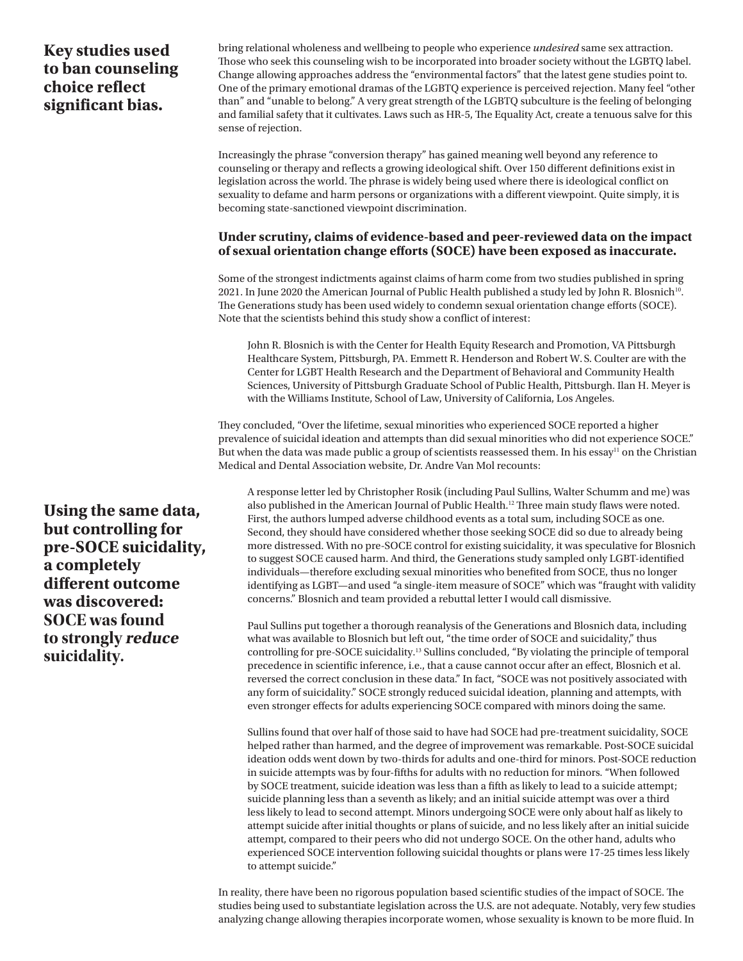### **Key studies used to ban counseling choice reflect significant bias.**

bring relational wholeness and wellbeing to people who experience *undesired* same sex attraction. Those who seek this counseling wish to be incorporated into broader society without the LGBTQ label. Change allowing approaches address the "environmental factors" that the latest gene studies point to. One of the primary emotional dramas of the LGBTQ experience is perceived rejection. Many feel "other than" and "unable to belong." A very great strength of the LGBTQ subculture is the feeling of belonging and familial safety that it cultivates. Laws such as HR-5, The Equality Act, create a tenuous salve for this sense of rejection.

Increasingly the phrase "conversion therapy" has gained meaning well beyond any reference to counseling or therapy and reflects a growing ideological shift. Over 150 different definitions exist in legislation across the world. The phrase is widely being used where there is ideological conflict on sexuality to defame and harm persons or organizations with a different viewpoint. Quite simply, it is becoming state-sanctioned viewpoint discrimination.

#### **Under scrutiny, claims of evidence-based and peer-reviewed data on the impact of sexual orientation change efforts (SOCE) have been exposed as inaccurate.**

Some of the strongest indictments against claims of harm come from two studies published in spring 2021. In June 2020 the American Journal of Public Health published a study led by John R. Blosnich<sup>10</sup>. The Generations study has been used widely to condemn sexual orientation change efforts (SOCE). Note that the scientists behind this study show a conflict of interest:

John R. Blosnich is with the Center for Health Equity Research and Promotion, VA Pittsburgh Healthcare System, Pittsburgh, PA. Emmett R. Henderson and Robert W.S. Coulter are with the Center for LGBT Health Research and the Department of Behavioral and Community Health Sciences, University of Pittsburgh Graduate School of Public Health, Pittsburgh. Ilan H. Meyer is with the Williams Institute, School of Law, University of California, Los Angeles.

They concluded, "Over the lifetime, sexual minorities who experienced SOCE reported a higher prevalence of suicidal ideation and attempts than did sexual minorities who did not experience SOCE." But when the data was made public a group of scientists reassessed them. In his essay<sup>11</sup> on the Christian Medical and Dental Association website, Dr. Andre Van Mol recounts:

A response letter led by Christopher Rosik (including Paul Sullins, Walter Schumm and me) was also published in the American Journal of Public Health.<sup>12</sup> Three main study flaws were noted. First, the authors lumped adverse childhood events as a total sum, including SOCE as one. Second, they should have considered whether those seeking SOCE did so due to already being more distressed. With no pre-SOCE control for existing suicidality, it was speculative for Blosnich to suggest SOCE caused harm. And third, the Generations study sampled only LGBT-identified individuals—therefore excluding sexual minorities who benefited from SOCE, thus no longer identifying as LGBT—and used "a single-item measure of SOCE" which was "fraught with validity concerns." Blosnich and team provided a rebuttal letter I would call dismissive.

Paul Sullins put together a thorough reanalysis of the Generations and Blosnich data, including what was available to Blosnich but left out, "the time order of SOCE and suicidality," thus controlling for pre-SOCE suicidality.13 Sullins concluded, "By violating the principle of temporal precedence in scientific inference, i.e., that a cause cannot occur after an effect, Blosnich et al. reversed the correct conclusion in these data." In fact, "SOCE was not positively associated with any form of suicidality." SOCE strongly reduced suicidal ideation, planning and attempts, with even stronger effects for adults experiencing SOCE compared with minors doing the same.

Sullins found that over half of those said to have had SOCE had pre-treatment suicidality, SOCE helped rather than harmed, and the degree of improvement was remarkable. Post-SOCE suicidal ideation odds went down by two-thirds for adults and one-third for minors. Post-SOCE reduction in suicide attempts was by four-fifths for adults with no reduction for minors. "When followed by SOCE treatment, suicide ideation was less than a fifth as likely to lead to a suicide attempt; suicide planning less than a seventh as likely; and an initial suicide attempt was over a third less likely to lead to second attempt. Minors undergoing SOCE were only about half as likely to attempt suicide after initial thoughts or plans of suicide, and no less likely after an initial suicide attempt, compared to their peers who did not undergo SOCE. On the other hand, adults who experienced SOCE intervention following suicidal thoughts or plans were 17-25 times less likely to attempt suicide."

In reality, there have been no rigorous population based scientific studies of the impact of SOCE. The studies being used to substantiate legislation across the U.S. are not adequate. Notably, very few studies analyzing change allowing therapies incorporate women, whose sexuality is known to be more fluid. In

**Using the same data, but controlling for pre-SOCE suicidality, a completely different outcome was discovered: SOCE was found to strongly reduce suicidality.**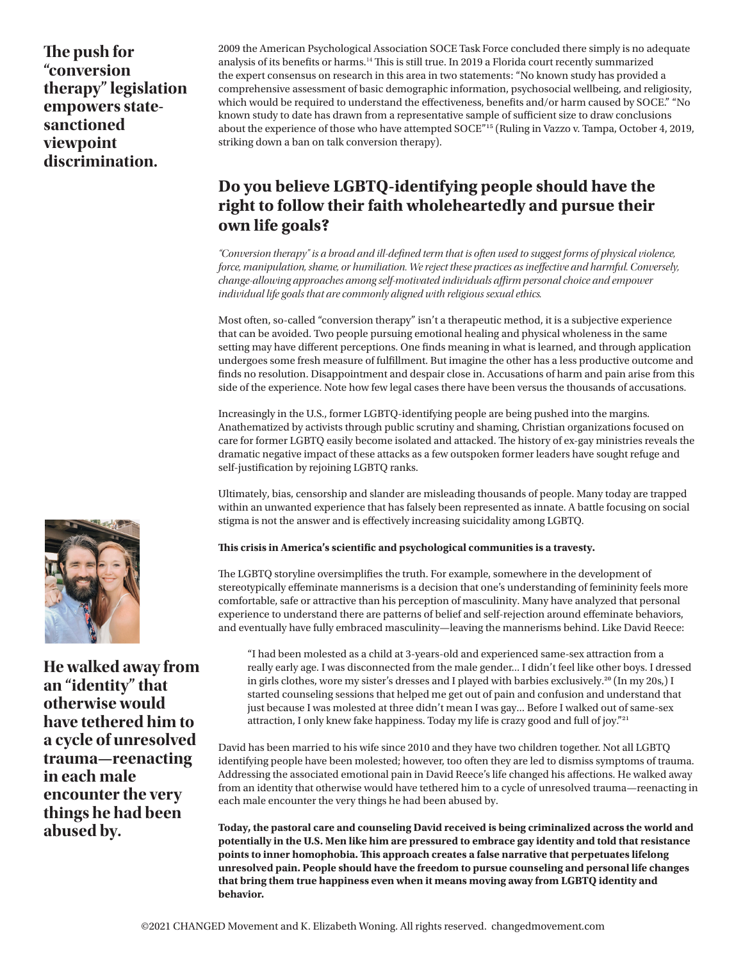**The push for "conversion therapy" legislation empowers statesanctioned viewpoint discrimination.**

2009 the American Psychological Association SOCE Task Force concluded there simply is no adequate analysis of its benefits or harms.14 This is still true. In 2019 a Florida court recently summarized the expert consensus on research in this area in two statements: "No known study has provided a comprehensive assessment of basic demographic information, psychosocial wellbeing, and religiosity, which would be required to understand the effectiveness, benefits and/or harm caused by SOCE." "No known study to date has drawn from a representative sample of sufficient size to draw conclusions about the experience of those who have attempted SOCE"15 (Ruling in Vazzo v. Tampa, October 4, 2019, striking down a ban on talk conversion therapy).

### **Do you believe LGBTQ-identifying people should have the right to follow their faith wholeheartedly and pursue their own life goals?**

*"Conversion therapy" is a broad and ill-defined term that is often used to suggest forms of physical violence, force, manipulation, shame, or humiliation. We reject these practices as ineffective and harmful. Conversely, change-allowing approaches among self-motivated individuals affirm personal choice and empower individual life goals that are commonly aligned with religious sexual ethics.* 

Most often, so-called "conversion therapy" isn't a therapeutic method, it is a subjective experience that can be avoided. Two people pursuing emotional healing and physical wholeness in the same setting may have different perceptions. One finds meaning in what is learned, and through application undergoes some fresh measure of fulfillment. But imagine the other has a less productive outcome and finds no resolution. Disappointment and despair close in. Accusations of harm and pain arise from this side of the experience. Note how few legal cases there have been versus the thousands of accusations.

Increasingly in the U.S., former LGBTQ-identifying people are being pushed into the margins. Anathematized by activists through public scrutiny and shaming, Christian organizations focused on care for former LGBTQ easily become isolated and attacked. The history of ex-gay ministries reveals the dramatic negative impact of these attacks as a few outspoken former leaders have sought refuge and self-justification by rejoining LGBTQ ranks.

Ultimately, bias, censorship and slander are misleading thousands of people. Many today are trapped within an unwanted experience that has falsely been represented as innate. A battle focusing on social stigma is not the answer and is effectively increasing suicidality among LGBTQ.

#### **This crisis in America's scientific and psychological communities is a travesty.**

The LGBTQ storyline oversimplifies the truth. For example, somewhere in the development of stereotypically effeminate mannerisms is a decision that one's understanding of femininity feels more comfortable, safe or attractive than his perception of masculinity. Many have analyzed that personal experience to understand there are patterns of belief and self-rejection around effeminate behaviors, and eventually have fully embraced masculinity—leaving the mannerisms behind. Like David Reece:

"I had been molested as a child at 3-years-old and experienced same-sex attraction from a really early age. I was disconnected from the male gender... I didn't feel like other boys. I dressed in girls clothes, wore my sister's dresses and I played with barbies exclusively.<sup>20</sup> (In my 20s,) I started counseling sessions that helped me get out of pain and confusion and understand that just because I was molested at three didn't mean I was gay... Before I walked out of same-sex attraction, I only knew fake happiness. Today my life is crazy good and full of joy."<sup>21</sup>

David has been married to his wife since 2010 and they have two children together. Not all LGBTQ identifying people have been molested; however, too often they are led to dismiss symptoms of trauma. Addressing the associated emotional pain in David Reece's life changed his affections. He walked away from an identity that otherwise would have tethered him to a cycle of unresolved trauma—reenacting in each male encounter the very things he had been abused by.

**Today, the pastoral care and counseling David received is being criminalized across the world and potentially in the U.S. Men like him are pressured to embrace gay identity and told that resistance points to inner homophobia. This approach creates a false narrative that perpetuates lifelong unresolved pain. People should have the freedom to pursue counseling and personal life changes that bring them true happiness even when it means moving away from LGBTQ identity and behavior.** 



**He walked away from an "identity" that otherwise would have tethered him to a cycle of unresolved trauma—reenacting in each male encounter the very things he had been abused by.**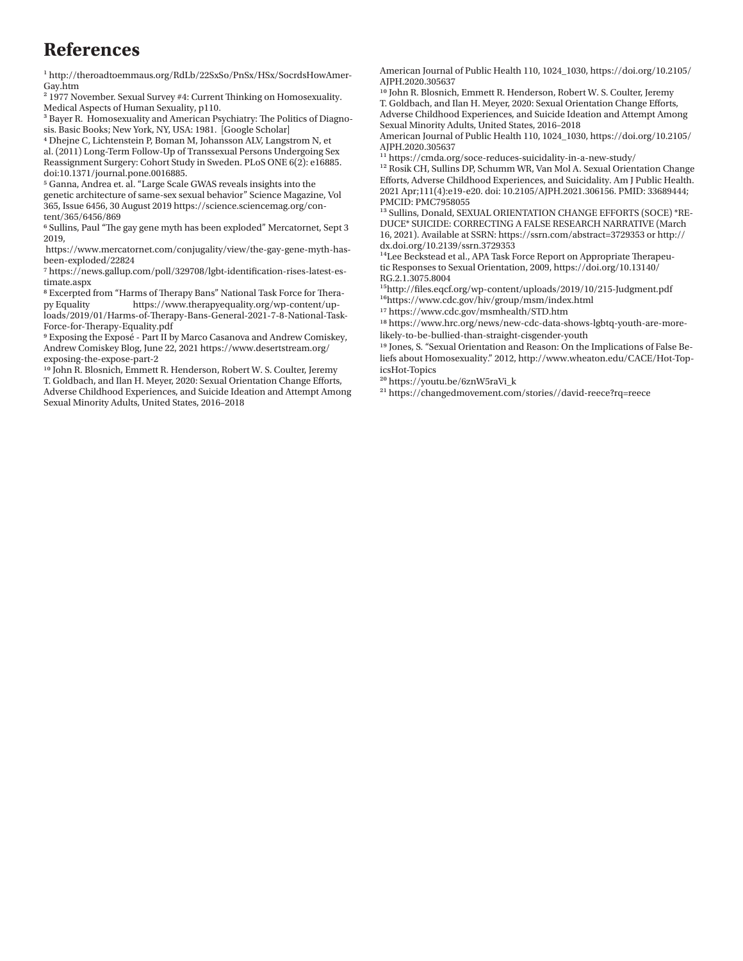### **References**

1 http://theroadtoemmaus.org/RdLb/22SxSo/PnSx/HSx/SocrdsHowAmer-Gay.htm

2 1977 November. Sexual Survey #4: Current Thinking on Homosexuality. Medical Aspects of Human Sexuality, p110.

<sup>3</sup> Bayer R. Homosexuality and American Psychiatry: The Politics of Diagnosis. Basic Books; New York, NY, USA: 1981. [Google Scholar]

4 Dhejne C, Lichtenstein P, Boman M, Johansson ALV, Langstrom N, et al. (2011) Long-Term Follow-Up of Transsexual Persons Undergoing Sex Reassignment Surgery: Cohort Study in Sweden. PLoS ONE 6(2): e16885. doi:10.1371/journal.pone.0016885.

5 Ganna, Andrea et. al. "Large Scale GWAS reveals insights into the genetic architecture of same-sex sexual behavior" Science Magazine, Vol 365, Issue 6456, 30 August 2019 https://science.sciencemag.org/content/365/6456/869

6 Sullins, Paul "The gay gene myth has been exploded" Mercatornet, Sept 3 2019,

 https://www.mercatornet.com/conjugality/view/the-gay-gene-myth-hasbeen-exploded/22824

7 https://news.gallup.com/poll/329708/lgbt-identification-rises-latest-estimate.aspx

8 Excerpted from "Harms of Therapy Bans" National Task Force for Therapy Equality https://www.therapyequality.org/wp-content/uploads/2019/01/Harms-of-Therapy-Bans-General-2021-7-8-National-Task-Force-for-Therapy-Equality.pdf

9 Exposing the Exposé - Part II by Marco Casanova and Andrew Comiskey, Andrew Comiskey Blog, June 22, 2021 https://www.desertstream.org/ exposing-the-expose-part-2

10 John R. Blosnich, Emmett R. Henderson, Robert W. S. Coulter, Jeremy T. Goldbach, and Ilan H. Meyer, 2020: Sexual Orientation Change Efforts, Adverse Childhood Experiences, and Suicide Ideation and Attempt Among Sexual Minority Adults, United States, 2016–2018

American Journal of Public Health 110, 1024\_1030, https://doi.org/10.2105/ AJPH.2020.305637

10 John R. Blosnich, Emmett R. Henderson, Robert W. S. Coulter, Jeremy T. Goldbach, and Ilan H. Meyer, 2020: Sexual Orientation Change Efforts, Adverse Childhood Experiences, and Suicide Ideation and Attempt Among Sexual Minority Adults, United States, 2016–2018

American Journal of Public Health 110, 1024\_1030, https://doi.org/10.2105/ AJPH.2020.305637

11 https://cmda.org/soce-reduces-suicidality-in-a-new-study/

12 Rosik CH, Sullins DP, Schumm WR, Van Mol A. Sexual Orientation Change Efforts, Adverse Childhood Experiences, and Suicidality. Am J Public Health. 2021 Apr;111(4):e19-e20. doi: 10.2105/AJPH.2021.306156. PMID: 33689444; PMCID: PMC7958055

<sup>13</sup> Sullins, Donald, SEXUAL ORIENTATION CHANGE EFFORTS (SOCE) \*RE-DUCE\* SUICIDE: CORRECTING A FALSE RESEARCH NARRATIVE (March 16, 2021). Available at SSRN: https://ssrn.com/abstract=3729353 or http:// dx.doi.org/10.2139/ssrn.3729353

<sup>14</sup>Lee Beckstead et al., APA Task Force Report on Appropriate Therapeutic Responses to Sexual Orientation, 2009, https://doi.org/10.13140/ RG.2.1.3075.8004

15http://files.eqcf.org/wp-content/uploads/2019/10/215-Judgment.pdf 16https://www.cdc.gov/hiv/group/msm/index.html

17 https://www.cdc.gov/msmhealth/STD.htm

18 https://www.hrc.org/news/new-cdc-data-shows-lgbtq-youth-are-morelikely-to-be-bullied-than-straight-cisgender-youth

19 Jones, S. "Sexual Orientation and Reason: On the Implications of False Beliefs about Homosexuality." 2012, http://www.wheaton.edu/CACE/Hot-TopicsHot-Topics

20 https://youtu.be/6znW5raVi\_k

21 https://changedmovement.com/stories//david-reece?rq=reece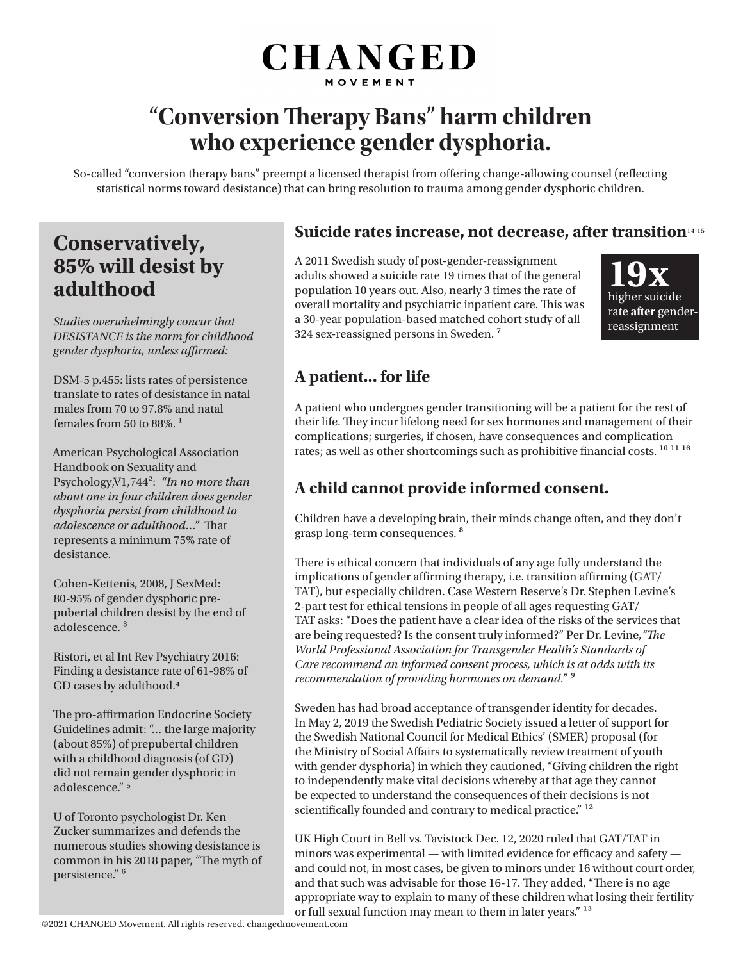# **CHANGED** MOVEMENT

# **"Conversion Therapy Bans" harm children who experience gender dysphoria.**

So-called "conversion therapy bans" preempt a licensed therapist from offering change-allowing counsel (reflecting statistical norms toward desistance) that can bring resolution to trauma among gender dysphoric children.

## **Conservatively, 85% will desist by adulthood**

*Studies overwhelmingly concur that DESISTANCE is the norm for childhood gender dysphoria, unless affirmed:*

DSM-5 p.455: lists rates of persistence translate to rates of desistance in natal males from 70 to 97.8% and natal females from 50 to  $88\%$ <sup>1</sup>

American Psychological Association Handbook on Sexuality and Psychology,V1,744²: *"In no more than about one in four children does gender dysphoria persist from childhood to adolescence or adulthood…"* That represents a minimum 75% rate of desistance.

Cohen-Kettenis, 2008, J SexMed: 80-95% of gender dysphoric prepubertal children desist by the end of adolescence. ³

Ristori, et al Int Rev Psychiatry 2016: Finding a desistance rate of 61-98% of GD cases by adulthood.4

The pro-affirmation Endocrine Society Guidelines admit: "… the large majority (about 85%) of prepubertal children with a childhood diagnosis (of GD) did not remain gender dysphoric in adolescence." 5

U of Toronto psychologist Dr. Ken Zucker summarizes and defends the numerous studies showing desistance is common in his 2018 paper, "The myth of persistence." 6

### **Suicide rates increase, not decrease, after transition**<sup>14 15</sup>

A 2011 Swedish study of post-gender-reassignment adults showed a suicide rate 19 times that of the general population 10 years out. Also, nearly 3 times the rate of overall mortality and psychiatric inpatient care. This was a 30-year population-based matched cohort study of all 324 sex-reassigned persons in Sweden.<sup>7</sup>



### **A patient... for life**

A patient who undergoes gender transitioning will be a patient for the rest of their life. They incur lifelong need for sex hormones and management of their complications; surgeries, if chosen, have consequences and complication rates; as well as other shortcomings such as prohibitive financial costs.  $^{10\ 11\ 16}$ 

### **A child cannot provide informed consent.**

Children have a developing brain, their minds change often, and they don't grasp long-term consequences. <sup>8</sup>

There is ethical concern that individuals of any age fully understand the implications of gender affirming therapy, i.e. transition affirming (GAT/ TAT), but especially children. Case Western Reserve's Dr. Stephen Levine's 2-part test for ethical tensions in people of all ages requesting GAT/ TAT asks: "Does the patient have a clear idea of the risks of the services that are being requested? Is the consent truly informed?" Per Dr. Levine,*"The World Professional Association for Transgender Health's Standards of Care recommend an informed consent process, which is at odds with its recommendation of providing hormones on demand." ⁹*

Sweden has had broad acceptance of transgender identity for decades. In May 2, 2019 the Swedish Pediatric Society issued a letter of support for the Swedish National Council for Medical Ethics' (SMER) proposal (for the Ministry of Social Affairs to systematically review treatment of youth with gender dysphoria) in which they cautioned, "Giving children the right to independently make vital decisions whereby at that age they cannot be expected to understand the consequences of their decisions is not scientifically founded and contrary to medical practice." <sup>12</sup>

UK High Court in Bell vs. Tavistock Dec. 12, 2020 ruled that GAT/TAT in minors was experimental — with limited evidence for efficacy and safety and could not, in most cases, be given to minors under 16 without court order, and that such was advisable for those 16-17. They added, "There is no age appropriate way to explain to many of these children what losing their fertility or full sexual function may mean to them in later years."<sup>13</sup>